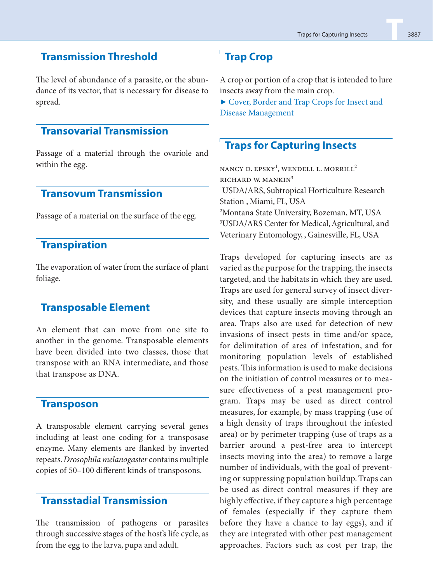# **Transmission Threshold**

The level of abundance of a parasite, or the abundance of its vector, that is necessary for disease to spread.

## **Transovarial Transmission**

Passage of a material through the ovariole and within the egg.

# **Transovum Transmission**

Passage of a material on the surface of the egg.

# **Transpiration**

The evaporation of water from the surface of plant foliage.

# **Transposable Element**

An element that can move from one site to another in the genome. Transposable elements have been divided into two classes, those that transpose with an RNA intermediate, and those that transpose as DNA.

### **Transposon**

A transposable element carrying several genes including at least one coding for a transposase enzyme. Many elements are flanked by inverted repeats. *Drosophila melanogaster* contains multiple copies of 50–100 different kinds of transposons.

# **Transstadial Transmission**

The transmission of pathogens or parasites through successive stages of the host's life cycle, as from the egg to the larva, pupa and adult.

## **Trap Crop**

A crop or portion of a crop that is intended to lure insects away from the main crop.

 Cover, Border and Trap Crops for Insect and Disease Management

## **Traps for Capturing Insects**

NANCY D. EPSKY<sup>1</sup>, WENDELL L. MORRILL<sup>2</sup> RICHARD W. MANKIN $3$ 1 USDA/ARS, Subtropical Horticulture Research Station , Miami, FL, USA 2 Montana State University, Bozeman, MT, USA 3 USDA/ARS Center for Medical, Agricultural, and Veterinary Entomology, , Gainesville, FL, USA

Traps developed for capturing insects are as varied as the purpose for the trapping, the insects targeted, and the habitats in which they are used. Traps are used for general survey of insect diversity, and these usually are simple interception devices that capture insects moving through an area. Traps also are used for detection of new invasions of insect pests in time and/or space, for delimitation of area of infestation, and for monitoring population levels of established pests. This information is used to make decisions on the initiation of control measures or to measure effectiveness of a pest management program. Traps may be used as direct control measures, for example, by mass trapping (use of a high density of traps throughout the infested area) or by perimeter trapping (use of traps as a barrier around a pest-free area to intercept insects moving into the area) to remove a large number of individuals, with the goal of preventing or suppressing population buildup. Traps can be used as direct control measures if they are highly effective, if they capture a high percentage of females (especially if they capture them before they have a chance to lay eggs), and if they are integrated with other pest management approaches. Factors such as cost per trap, the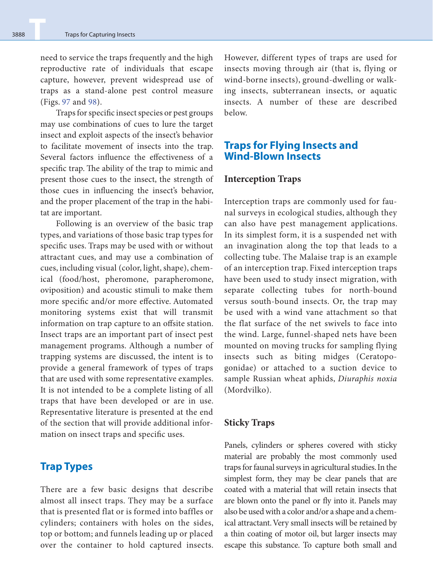need to service the traps frequently and the high reproductive rate of individuals that escape capture, however, prevent widespread use of traps as a stand-alone pest control measure (Figs. 97 and 98).

Traps for specific insect species or pest groups may use combinations of cues to lure the target insect and exploit aspects of the insect's behavior to facilitate movement of insects into the trap. Several factors influence the effectiveness of a specific trap. The ability of the trap to mimic and present those cues to the insect, the strength of those cues in influencing the insect's behavior, and the proper placement of the trap in the habitat are important.

Following is an overview of the basic trap types, and variations of those basic trap types for specific uses. Traps may be used with or without attractant cues, and may use a combination of cues, including visual (color, light, shape), chemical (food/host, pheromone, parapheromone, oviposition) and acoustic stimuli to make them more specific and/or more effective. Automated monitoring systems exist that will transmit information on trap capture to an offsite station. Insect traps are an important part of insect pest management programs. Although a number of trapping systems are discussed, the intent is to provide a general framework of types of traps that are used with some representative examples. It is not intended to be a complete listing of all traps that have been developed or are in use. Representative literature is presented at the end of the section that will provide additional information on insect traps and specific uses.

### **Trap Types**

There are a few basic designs that describe almost all insect traps. They may be a surface that is presented flat or is formed into baffles or cylinders; containers with holes on the sides, top or bottom; and funnels leading up or placed over the container to hold captured insects.

However, different types of traps are used for insects moving through air (that is, flying or wind-borne insects), ground-dwelling or walking insects, subterranean insects, or aquatic insects. A number of these are described below.

### **Traps for Flying Insects and Wind-Blown Insects**

#### **Interception Traps**

Interception traps are commonly used for faunal surveys in ecological studies, although they can also have pest management applications. In its simplest form, it is a suspended net with an invagination along the top that leads to a collecting tube. The Malaise trap is an example of an interception trap. Fixed interception traps have been used to study insect migration, with separate collecting tubes for north-bound versus south-bound insects. Or, the trap may be used with a wind vane attachment so that the flat surface of the net swivels to face into the wind. Large, funnel-shaped nets have been mounted on moving trucks for sampling flying insects such as biting midges (Ceratopogonidae) or attached to a suction device to sample Russian wheat aphids, *Diuraphis noxia* (Mordvilko).

#### **Sticky Traps**

Panels, cylinders or spheres covered with sticky material are probably the most commonly used traps for faunal surveys in agricultural studies. In the simplest form, they may be clear panels that are coated with a material that will retain insects that are blown onto the panel or fly into it. Panels may also be used with a color and/or a shape and a chemical attractant. Very small insects will be retained by a thin coating of motor oil, but larger insects may escape this substance. To capture both small and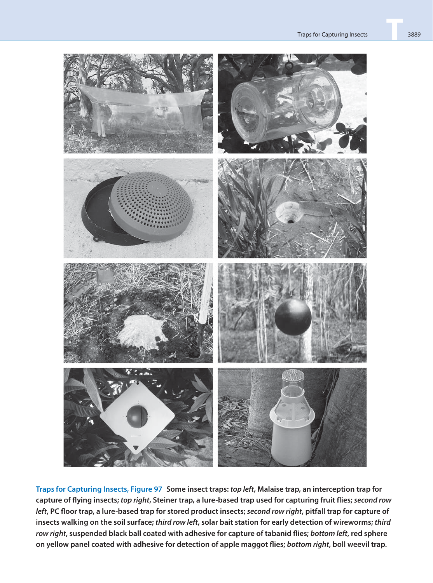

**Traps for Capturing Insects, Figure 97 Some insect traps:** *top left***, Malaise trap, an interception trap for capture of flying insects;** *top right***, Steiner trap, a lure-based trap used for capturing fruit flies;** *second row left***, PC floor trap, a lure-based trap for stored product insects;** *second row right***, pitfall trap for capture of insects walking on the soil surface;** *third row left***, solar bait station for early detection of wireworms;** *third row right***, suspended black ball coated with adhesive for capture of tabanid flies;** *bottom left***, red sphere on yellow panel coated with adhesive for detection of apple maggot flies;** *bottom right***, boll weevil trap.**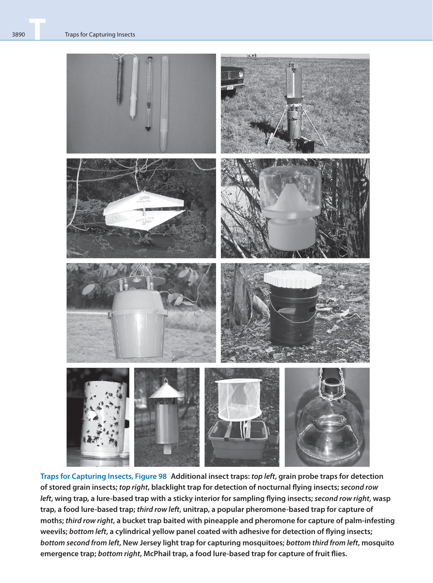

**Traps for Capturing Insects, Figure 98 Additional insect traps:** *top left***, grain probe traps for detection of stored grain insects;** *top right***, blacklight trap for detection of nocturnal flying insects;** *second row left***, wing trap, a lure-based trap with a sticky interior for sampling flying insects;** *second row right***, wasp trap, a food lure-based trap;** *third row left***, unitrap, a popular pheromone-based trap for capture of moths;** *third row right***, a bucket trap baited with pineapple and pheromone for capture of palm-infesting weevils;** *bottom left***, a cylindrical yellow panel coated with adhesive for detection of flying insects;**  *bottom second from left***, New Jersey light trap for capturing mosquitoes;** *bottom third from left***, mosquito emergence trap;** *bottom right***, McPhail trap, a food lure-based trap for capture of fruit flies.**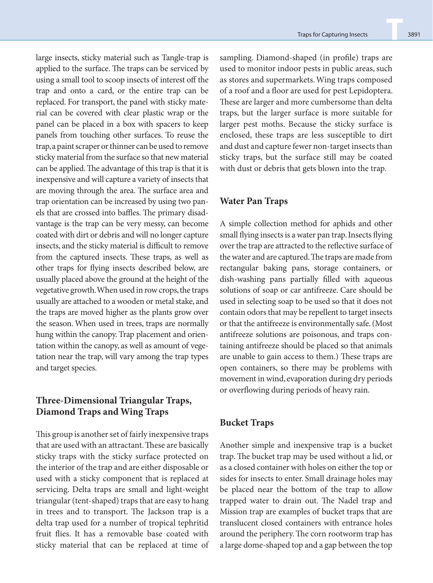large insects, sticky material such as Tangle-trap is applied to the surface. The traps can be serviced by using a small tool to scoop insects of interest off the trap and onto a card, or the entire trap can be replaced. For transport, the panel with sticky material can be covered with clear plastic wrap or the panel can be placed in a box with spacers to keep panels from touching other surfaces. To reuse the trap, a paint scraper or thinner can be used to remove sticky material from the surface so that new material can be applied. The advantage of this trap is that it is inexpensive and will capture a variety of insects that are moving through the area. The surface area and trap orientation can be increased by using two panels that are crossed into baffles. The primary disadvantage is the trap can be very messy, can become coated with dirt or debris and will no longer capture insects, and the sticky material is difficult to remove from the captured insects. These traps, as well as other traps for flying insects described below, are usually placed above the ground at the height of the vegetative growth. When used in row crops, the traps usually are attached to a wooden or metal stake, and the traps are moved higher as the plants grow over the season. When used in trees, traps are normally hung within the canopy. Trap placement and orientation within the canopy, as well as amount of vegetation near the trap, will vary among the trap types and target species.

### **Three-Dimensional Triangular Traps, Diamond Traps and Wing Traps**

This group is another set of fairly inexpensive traps that are used with an attractant. These are basically sticky traps with the sticky surface protected on the interior of the trap and are either disposable or used with a sticky component that is replaced at servicing. Delta traps are small and light-weight triangular (tent-shaped) traps that are easy to hang in trees and to transport. The Jackson trap is a delta trap used for a number of tropical tephritid fruit flies. It has a removable base coated with sticky material that can be replaced at time of

sampling. Diamond-shaped (in profile) traps are used to monitor indoor pests in public areas, such as stores and supermarkets. Wing traps composed of a roof and a floor are used for pest Lepidoptera. These are larger and more cumbersome than delta traps, but the larger surface is more suitable for larger pest moths. Because the sticky surface is enclosed, these traps are less susceptible to dirt and dust and capture fewer non-target insects than sticky traps, but the surface still may be coated with dust or debris that gets blown into the trap.

#### **Water Pan Traps**

A simple collection method for aphids and other small flying insects is a water pan trap. Insects flying over the trap are attracted to the reflective surface of the water and are captured. The traps are made from rectangular baking pans, storage containers, or dish-washing pans partially filled with aqueous solutions of soap or car antifreeze. Care should be used in selecting soap to be used so that it does not contain odors that may be repellent to target insects or that the antifreeze is environmentally safe. (Most antifreeze solutions are poisonous, and traps containing antifreeze should be placed so that animals are unable to gain access to them.) These traps are open containers, so there may be problems with movement in wind, evaporation during dry periods or overflowing during periods of heavy rain.

#### **Bucket Traps**

Another simple and inexpensive trap is a bucket trap. The bucket trap may be used without a lid, or as a closed container with holes on either the top or sides for insects to enter. Small drainage holes may be placed near the bottom of the trap to allow trapped water to drain out. The Nadel trap and Mission trap are examples of bucket traps that are translucent closed containers with entrance holes around the periphery. The corn rootworm trap has a large dome-shaped top and a gap between the top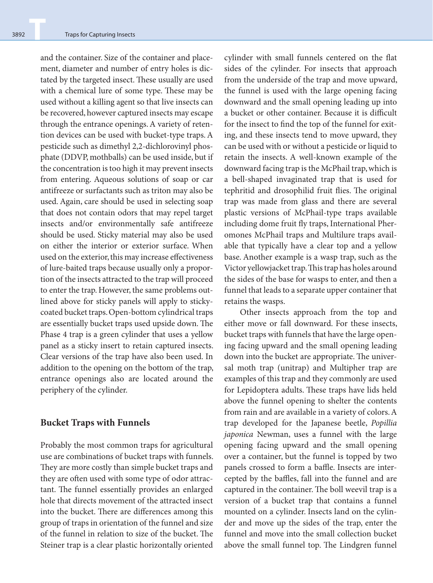and the container. Size of the container and placement, diameter and number of entry holes is dictated by the targeted insect. These usually are used with a chemical lure of some type. These may be used without a killing agent so that live insects can be recovered, however captured insects may escape through the entrance openings. A variety of retention devices can be used with bucket-type traps. A pesticide such as dimethyl 2,2-dichlorovinyl phosphate (DDVP, mothballs) can be used inside, but if the concentration is too high it may prevent insects from entering. Aqueous solutions of soap or car antifreeze or surfactants such as triton may also be used. Again, care should be used in selecting soap that does not contain odors that may repel target insects and/or environmentally safe antifreeze should be used. Sticky material may also be used on either the interior or exterior surface. When used on the exterior, this may increase effectiveness of lure-baited traps because usually only a proportion of the insects attracted to the trap will proceed to enter the trap. However, the same problems outlined above for sticky panels will apply to stickycoated bucket traps. Open-bottom cylindrical traps are essentially bucket traps used upside down. The Phase 4 trap is a green cylinder that uses a yellow panel as a sticky insert to retain captured insects. Clear versions of the trap have also been used. In addition to the opening on the bottom of the trap, entrance openings also are located around the periphery of the cylinder.

#### **Bucket Traps with Funnels**

Probably the most common traps for agricultural use are combinations of bucket traps with funnels. They are more costly than simple bucket traps and they are often used with some type of odor attractant. The funnel essentially provides an enlarged hole that directs movement of the attracted insect into the bucket. There are differences among this group of traps in orientation of the funnel and size of the funnel in relation to size of the bucket. The Steiner trap is a clear plastic horizontally oriented

cylinder with small funnels centered on the flat sides of the cylinder. For insects that approach from the underside of the trap and move upward, the funnel is used with the large opening facing downward and the small opening leading up into a bucket or other container. Because it is difficult for the insect to find the top of the funnel for exiting, and these insects tend to move upward, they can be used with or without a pesticide or liquid to retain the insects. A well-known example of the downward facing trap is the McPhail trap, which is a bell-shaped invaginated trap that is used for tephritid and drosophilid fruit flies. The original trap was made from glass and there are several plastic versions of McPhail-type traps available including dome fruit fly traps, International Pheromones McPhail traps and Multilure traps available that typically have a clear top and a yellow base. Another example is a wasp trap, such as the Victor yellowjacket trap. This trap has holes around the sides of the base for wasps to enter, and then a funnel that leads to a separate upper container that retains the wasps.

Other insects approach from the top and either move or fall downward. For these insects, bucket traps with funnels that have the large opening facing upward and the small opening leading down into the bucket are appropriate. The universal moth trap (unitrap) and Multipher trap are examples of this trap and they commonly are used for Lepidoptera adults. These traps have lids held above the funnel opening to shelter the contents from rain and are available in a variety of colors. A trap developed for the Japanese beetle, *Popillia japonica* Newman, uses a funnel with the large opening facing upward and the small opening over a container, but the funnel is topped by two panels crossed to form a baffle. Insects are intercepted by the baffles, fall into the funnel and are captured in the container. The boll weevil trap is a version of a bucket trap that contains a funnel mounted on a cylinder. Insects land on the cylinder and move up the sides of the trap, enter the funnel and move into the small collection bucket above the small funnel top. The Lindgren funnel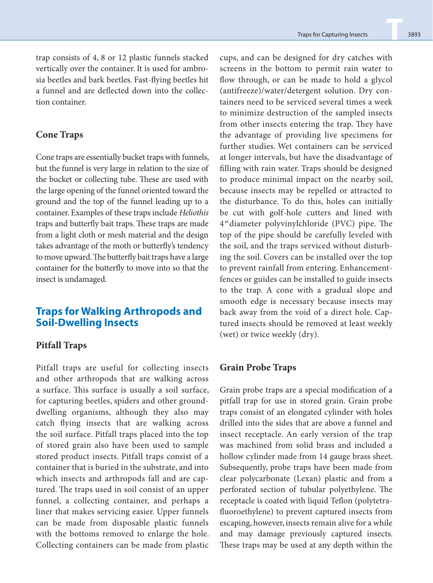trap consists of 4, 8 or 12 plastic funnels stacked vertically over the container. It is used for ambrosia beetles and bark beetles. Fast-flying beetles hit a funnel and are deflected down into the collection container.

### **Cone Traps**

Cone traps are essentially bucket traps with funnels, but the funnel is very large in relation to the size of the bucket or collecting tube. These are used with the large opening of the funnel oriented toward the ground and the top of the funnel leading up to a container. Examples of these traps include *Heliothis* traps and butterfly bait traps. These traps are made from a light cloth or mesh material and the design takes advantage of the moth or butterfly's tendency to move upward. The butterfly bait traps have a large container for the butterfly to move into so that the insect is undamaged.

## **Traps for Walking Arthropods and Soil-Dwelling Insects**

#### **Pitfall Traps**

Pitfall traps are useful for collecting insects and other arthropods that are walking across a surface. This surface is usually a soil surface, for capturing beetles, spiders and other grounddwelling organisms, although they also may catch flying insects that are walking across the soil surface. Pitfall traps placed into the top of stored grain also have been used to sample stored product insects. Pitfall traps consist of a container that is buried in the substrate, and into which insects and arthropods fall and are captured. The traps used in soil consist of an upper funnel, a collecting container, and perhaps a liner that makes servicing easier. Upper funnels can be made from disposable plastic funnels with the bottoms removed to enlarge the hole. Collecting containers can be made from plastic

cups, and can be designed for dry catches with screens in the bottom to permit rain water to flow through, or can be made to hold a glycol (antifreeze)/water/detergent solution. Dry containers need to be serviced several times a week to minimize destruction of the sampled insects from other insects entering the trap. They have the advantage of providing live specimens for further studies. Wet containers can be serviced at longer intervals, but have the disadvantage of filling with rain water. Traps should be designed to produce minimal impact on the nearby soil, because insects may be repelled or attracted to the disturbance. To do this, holes can initially be cut with golf-hole cutters and lined with 4"diameter polyvinylchloride (PVC) pipe. The top of the pipe should be carefully leveled with the soil, and the traps serviced without disturbing the soil. Covers can be installed over the top to prevent rainfall from entering. Enhancementfences or guides can be installed to guide insects to the trap. A cone with a gradual slope and smooth edge is necessary because insects may back away from the void of a direct hole. Captured insects should be removed at least weekly (wet) or twice weekly (dry).

#### **Grain Probe Traps**

Grain probe traps are a special modification of a pitfall trap for use in stored grain. Grain probe traps consist of an elongated cylinder with holes drilled into the sides that are above a funnel and insect receptacle. An early version of the trap was machined from solid brass and included a hollow cylinder made from 14 gauge brass sheet. Subsequently, probe traps have been made from clear polycarbonate (Lexan) plastic and from a perforated section of tubular polyethylene. The receptacle is coated with liquid Teflon (polytetrafluoroethylene) to prevent captured insects from escaping, however, insects remain alive for a while and may damage previously captured insects. These traps may be used at any depth within the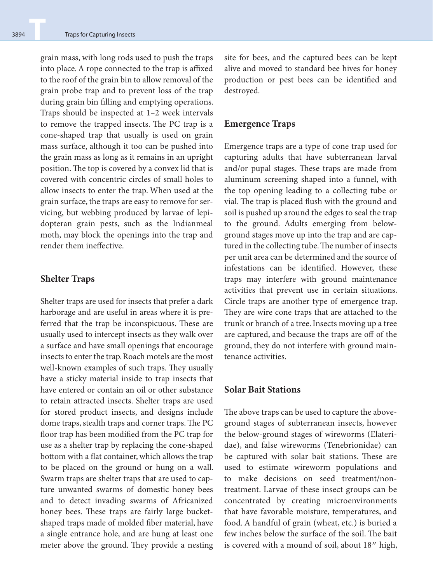grain mass, with long rods used to push the traps into place. A rope connected to the trap is affixed to the roof of the grain bin to allow removal of the grain probe trap and to prevent loss of the trap during grain bin filling and emptying operations. Traps should be inspected at 1–2 week intervals to remove the trapped insects. The PC trap is a cone-shaped trap that usually is used on grain mass surface, although it too can be pushed into the grain mass as long as it remains in an upright position. The top is covered by a convex lid that is covered with concentric circles of small holes to allow insects to enter the trap. When used at the grain surface, the traps are easy to remove for servicing, but webbing produced by larvae of lepidopteran grain pests, such as the Indianmeal moth, may block the openings into the trap and render them ineffective.

#### **Shelter Traps**

Shelter traps are used for insects that prefer a dark harborage and are useful in areas where it is preferred that the trap be inconspicuous. These are usually used to intercept insects as they walk over a surface and have small openings that encourage insects to enter the trap. Roach motels are the most well-known examples of such traps. They usually have a sticky material inside to trap insects that have entered or contain an oil or other substance to retain attracted insects. Shelter traps are used for stored product insects, and designs include dome traps, stealth traps and corner traps. The PC floor trap has been modified from the PC trap for use as a shelter trap by replacing the cone-shaped bottom with a flat container, which allows the trap to be placed on the ground or hung on a wall. Swarm traps are shelter traps that are used to capture unwanted swarms of domestic honey bees and to detect invading swarms of Africanized honey bees. These traps are fairly large bucketshaped traps made of molded fiber material, have a single entrance hole, and are hung at least one meter above the ground. They provide a nesting

site for bees, and the captured bees can be kept alive and moved to standard bee hives for honey production or pest bees can be identified and destroyed.

#### **Emergence Traps**

Emergence traps are a type of cone trap used for capturing adults that have subterranean larval and/or pupal stages. These traps are made from aluminum screening shaped into a funnel, with the top opening leading to a collecting tube or vial. The trap is placed flush with the ground and soil is pushed up around the edges to seal the trap to the ground. Adults emerging from belowground stages move up into the trap and are captured in the collecting tube. The number of insects per unit area can be determined and the source of infestations can be identified. However, these traps may interfere with ground maintenance activities that prevent use in certain situations. Circle traps are another type of emergence trap. They are wire cone traps that are attached to the trunk or branch of a tree. Insects moving up a tree are captured, and because the traps are off of the ground, they do not interfere with ground maintenance activities.

#### **Solar Bait Stations**

The above traps can be used to capture the aboveground stages of subterranean insects, however the below-ground stages of wireworms (Elateridae), and false wireworms (Tenebrionidae) can be captured with solar bait stations. These are used to estimate wireworm populations and to make decisions on seed treatment/nontreatment. Larvae of these insect groups can be concentrated by creating microenvironments that have favorable moisture, temperatures, and food. A handful of grain (wheat, etc.) is buried a few inches below the surface of the soil. The bait is covered with a mound of soil, about 18" high,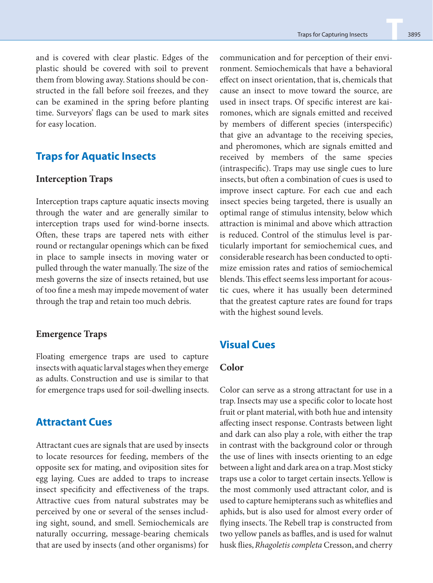and is covered with clear plastic. Edges of the plastic should be covered with soil to prevent them from blowing away. Stations should be constructed in the fall before soil freezes, and they can be examined in the spring before planting time. Surveyors' flags can be used to mark sites for easy location.

### **Traps for Aquatic Insects**

#### **Interception Traps**

Interception traps capture aquatic insects moving through the water and are generally similar to interception traps used for wind-borne insects. Often, these traps are tapered nets with either round or rectangular openings which can be fixed in place to sample insects in moving water or pulled through the water manually. The size of the mesh governs the size of insects retained, but use of too fine a mesh may impede movement of water through the trap and retain too much debris.

#### **Emergence Traps**

Floating emergence traps are used to capture insects with aquatic larval stages when they emerge as adults. Construction and use is similar to that for emergence traps used for soil-dwelling insects.

### **Attractant Cues**

Attractant cues are signals that are used by insects to locate resources for feeding, members of the opposite sex for mating, and oviposition sites for egg laying. Cues are added to traps to increase insect specificity and effectiveness of the traps. Attractive cues from natural substrates may be perceived by one or several of the senses including sight, sound, and smell. Semiochemicals are naturally occurring, message-bearing chemicals that are used by insects (and other organisms) for

communication and for perception of their environment. Semiochemicals that have a behavioral effect on insect orientation, that is, chemicals that cause an insect to move toward the source, are used in insect traps. Of specific interest are kairomones, which are signals emitted and received by members of different species (interspecific) that give an advantage to the receiving species, and pheromones, which are signals emitted and received by members of the same species (intraspecific). Traps may use single cues to lure insects, but often a combination of cues is used to improve insect capture. For each cue and each insect species being targeted, there is usually an optimal range of stimulus intensity, below which attraction is minimal and above which attraction is reduced. Control of the stimulus level is particularly important for semiochemical cues, and considerable research has been conducted to optimize emission rates and ratios of semiochemical blends. This effect seems less important for acoustic cues, where it has usually been determined that the greatest capture rates are found for traps with the highest sound levels.

### **Visual Cues**

### **Color**

Color can serve as a strong attractant for use in a trap. Insects may use a specific color to locate host fruit or plant material, with both hue and intensity affecting insect response. Contrasts between light and dark can also play a role, with either the trap in contrast with the background color or through the use of lines with insects orienting to an edge between a light and dark area on a trap. Most sticky traps use a color to target certain insects. Yellow is the most commonly used attractant color, and is used to capture hemipterans such as whiteflies and aphids, but is also used for almost every order of flying insects. The Rebell trap is constructed from two yellow panels as baffles, and is used for walnut husk flies, *Rhagoletis completa* Cresson, and cherry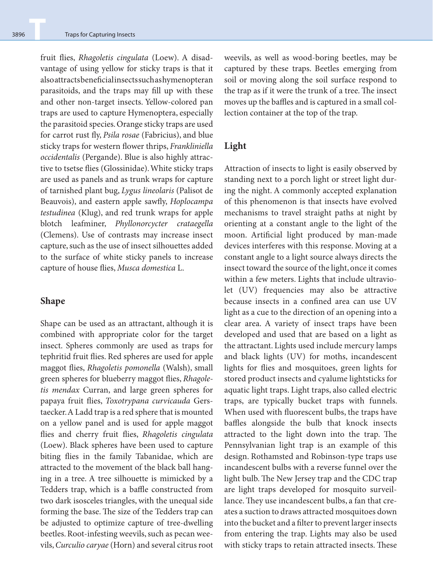fruit flies, *Rhagoletis cingulata* (Loew). A disadvantage of using yellow for sticky traps is that it also attracts beneficial insects such as hymenopteran parasitoids, and the traps may fill up with these and other non-target insects. Yellow-colored pan traps are used to capture Hymenoptera, especially the parasitoid species. Orange sticky traps are used for carrot rust fly, *Psila rosae* (Fabricius), and blue sticky traps for western flower thrips, *Frankliniella occidentalis* (Pergande). Blue is also highly attractive to tsetse flies (Glossinidae). White sticky traps are used as panels and as trunk wraps for capture of tarnished plant bug, *Lygus lineolaris* (Palisot de Beauvois), and eastern apple sawfly, *Hoplocampa testudinea* (Klug), and red trunk wraps for apple blotch leafminer, *Phyllonorcycter crataegella* (Clemens). Use of contrasts may increase insect capture, such as the use of insect silhouettes added to the surface of white sticky panels to increase capture of house flies, *Musca domestica* L.

#### **Shape**

Shape can be used as an attractant, although it is combined with appropriate color for the target insect. Spheres commonly are used as traps for tephritid fruit flies. Red spheres are used for apple maggot flies, *Rhagoletis pomonella* (Walsh), small green spheres for blueberry maggot flies, *Rhagoletis mendax* Curran, and large green spheres for papaya fruit flies, *Toxotrypana curvicauda* Gerstaecker. A Ladd trap is a red sphere that is mounted on a yellow panel and is used for apple maggot flies and cherry fruit flies, *Rhagoletis cingulata* (Loew). Black spheres have been used to capture biting flies in the family Tabanidae, which are attracted to the movement of the black ball hanging in a tree. A tree silhouette is mimicked by a Tedders trap, which is a baffle constructed from two dark isosceles triangles, with the unequal side forming the base. The size of the Tedders trap can be adjusted to optimize capture of tree-dwelling beetles. Root-infesting weevils, such as pecan weevils, *Curculio caryae* (Horn) and several citrus root

weevils, as well as wood-boring beetles, may be captured by these traps. Beetles emerging from soil or moving along the soil surface respond to the trap as if it were the trunk of a tree. The insect moves up the baffles and is captured in a small collection container at the top of the trap.

### **Light**

Attraction of insects to light is easily observed by standing next to a porch light or street light during the night. A commonly accepted explanation of this phenomenon is that insects have evolved mechanisms to travel straight paths at night by orienting at a constant angle to the light of the moon. Artificial light produced by man-made devices interferes with this response. Moving at a constant angle to a light source always directs the insect toward the source of the light, once it comes within a few meters. Lights that include ultraviolet (UV) frequencies may also be attractive because insects in a confined area can use UV light as a cue to the direction of an opening into a clear area. A variety of insect traps have been developed and used that are based on a light as the attractant. Lights used include mercury lamps and black lights (UV) for moths, incandescent lights for flies and mosquitoes, green lights for stored product insects and cyalume lightsticks for aquatic light traps. Light traps, also called electric traps, are typically bucket traps with funnels. When used with fluorescent bulbs, the traps have baffles alongside the bulb that knock insects attracted to the light down into the trap. The Pennsylvanian light trap is an example of this design. Rothamsted and Robinson-type traps use incandescent bulbs with a reverse funnel over the light bulb. The New Jersey trap and the CDC trap are light traps developed for mosquito surveillance. They use incandescent bulbs, a fan that creates a suction to draws attracted mosquitoes down into the bucket and a filter to prevent larger insects from entering the trap. Lights may also be used with sticky traps to retain attracted insects. These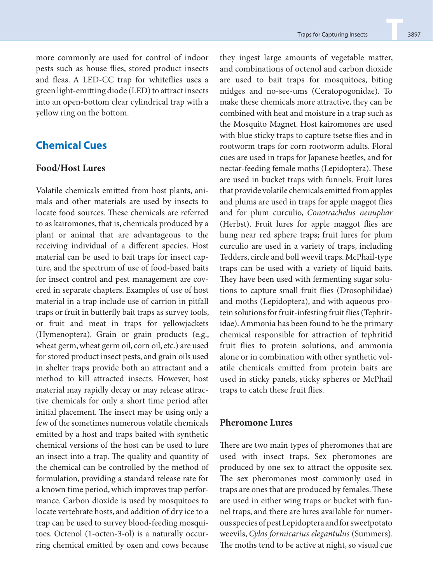more commonly are used for control of indoor pests such as house flies, stored product insects and fleas. A LED-CC trap for whiteflies uses a green light-emitting diode (LED) to attract insects into an open-bottom clear cylindrical trap with a yellow ring on the bottom.

## **Chemical Cues**

### **Food/Host Lures**

Volatile chemicals emitted from host plants, animals and other materials are used by insects to locate food sources. These chemicals are referred to as kairomones, that is, chemicals produced by a plant or animal that are advantageous to the receiving individual of a different species. Host material can be used to bait traps for insect capture, and the spectrum of use of food-based baits for insect control and pest management are covered in separate chapters. Examples of use of host material in a trap include use of carrion in pitfall traps or fruit in butterfly bait traps as survey tools, or fruit and meat in traps for yellowjackets (Hymenoptera). Grain or grain products (e.g., wheat germ, wheat germ oil, corn oil, etc.) are used for stored product insect pests, and grain oils used in shelter traps provide both an attractant and a method to kill attracted insects. However, host material may rapidly decay or may release attractive chemicals for only a short time period after initial placement. The insect may be using only a few of the sometimes numerous volatile chemicals emitted by a host and traps baited with synthetic chemical versions of the host can be used to lure an insect into a trap. The quality and quantity of the chemical can be controlled by the method of formulation, providing a standard release rate for a known time period, which improves trap performance. Carbon dioxide is used by mosquitoes to locate vertebrate hosts, and addition of dry ice to a trap can be used to survey blood-feeding mosquitoes. Octenol (1-octen-3-ol) is a naturally occurring chemical emitted by oxen and cows because

they ingest large amounts of vegetable matter, and combinations of octenol and carbon dioxide are used to bait traps for mosquitoes, biting midges and no-see-ums (Ceratopogonidae). To make these chemicals more attractive, they can be combined with heat and moisture in a trap such as the Mosquito Magnet. Host kairomones are used with blue sticky traps to capture tsetse flies and in rootworm traps for corn rootworm adults. Floral cues are used in traps for Japanese beetles, and for nectar-feeding female moths (Lepidoptera). These are used in bucket traps with funnels. Fruit lures that provide volatile chemicals emitted from apples and plums are used in traps for apple maggot flies and for plum curculio, *Conotrachelus nenuphar* (Herbst). Fruit lures for apple maggot flies are hung near red sphere traps; fruit lures for plum curculio are used in a variety of traps, including Tedders, circle and boll weevil traps. McPhail-type traps can be used with a variety of liquid baits. They have been used with fermenting sugar solutions to capture small fruit flies (Drosophilidae) and moths (Lepidoptera), and with aqueous protein solutions for fruit-infesting fruit flies (Tephritidae). Ammonia has been found to be the primary chemical responsible for attraction of tephritid fruit flies to protein solutions, and ammonia alone or in combination with other synthetic volatile chemicals emitted from protein baits are used in sticky panels, sticky spheres or McPhail traps to catch these fruit flies.

### **Pheromone Lures**

There are two main types of pheromones that are used with insect traps. Sex pheromones are produced by one sex to attract the opposite sex. The sex pheromones most commonly used in traps are ones that are produced by females. These are used in either wing traps or bucket with funnel traps, and there are lures available for numerous species of pest Lepidoptera and for sweetpotato weevils, *Cylas formicarius elegantulus* (Summers). The moths tend to be active at night, so visual cue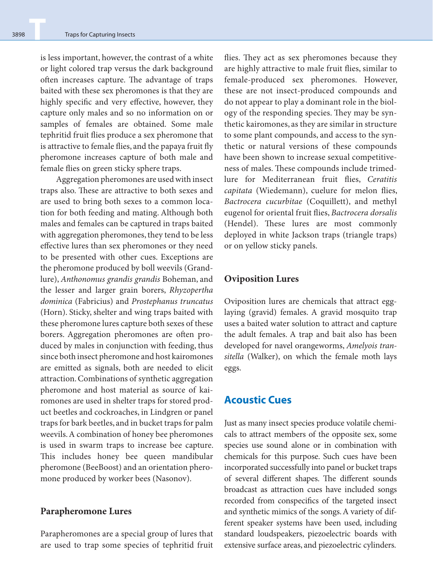is less important, however, the contrast of a white or light colored trap versus the dark background often increases capture. The advantage of traps baited with these sex pheromones is that they are highly specific and very effective, however, they capture only males and so no information on or samples of females are obtained. Some male tephritid fruit flies produce a sex pheromone that is attractive to female flies, and the papaya fruit fly pheromone increases capture of both male and female flies on green sticky sphere traps.

Aggregation pheromones are used with insect traps also. These are attractive to both sexes and are used to bring both sexes to a common location for both feeding and mating. Although both males and females can be captured in traps baited with aggregation pheromones, they tend to be less effective lures than sex pheromones or they need to be presented with other cues. Exceptions are the pheromone produced by boll weevils (Grandlure), *Anthonomus grandis grandis* Boheman, and the lesser and larger grain borers, *Rhyzopertha dominica* (Fabricius) and *Prostephanus truncatus* (Horn). Sticky, shelter and wing traps baited with these pheromone lures capture both sexes of these borers. Aggregation pheromones are often produced by males in conjunction with feeding, thus since both insect pheromone and host kairomones are emitted as signals, both are needed to elicit attraction. Combinations of synthetic aggregation pheromone and host material as source of kairomones are used in shelter traps for stored product beetles and cockroaches, in Lindgren or panel traps for bark beetles, and in bucket traps for palm weevils. A combination of honey bee pheromones is used in swarm traps to increase bee capture. This includes honey bee queen mandibular pheromone (BeeBoost) and an orientation pheromone produced by worker bees (Nasonov).

#### **Parapheromone Lures**

Parapheromones are a special group of lures that are used to trap some species of tephritid fruit

flies. They act as sex pheromones because they are highly attractive to male fruit flies, similar to female-produced sex pheromones. However, these are not insect-produced compounds and do not appear to play a dominant role in the biology of the responding species. They may be synthetic kairomones, as they are similar in structure to some plant compounds, and access to the synthetic or natural versions of these compounds have been shown to increase sexual competitiveness of males. These compounds include trimedlure for Mediterranean fruit flies, *Ceratitis capitata* (Wiedemann), cuelure for melon flies, *Bactrocera cucurbitae* (Coquillett), and methyl eugenol for oriental fruit flies, *Bactrocera dorsalis* (Hendel). These lures are most commonly deployed in white Jackson traps (triangle traps) or on yellow sticky panels.

#### **Oviposition Lures**

Oviposition lures are chemicals that attract egglaying (gravid) females. A gravid mosquito trap uses a baited water solution to attract and capture the adult females. A trap and bait also has been developed for navel orangeworms, *Amelyois transitella* (Walker), on which the female moth lays eggs.

#### **Acoustic Cues**

Just as many insect species produce volatile chemicals to attract members of the opposite sex, some species use sound alone or in combination with chemicals for this purpose. Such cues have been incorporated successfully into panel or bucket traps of several different shapes. The different sounds broadcast as attraction cues have included songs recorded from conspecifics of the targeted insect and synthetic mimics of the songs. A variety of different speaker systems have been used, including standard loudspeakers, piezoelectric boards with extensive surface areas, and piezoelectric cylinders.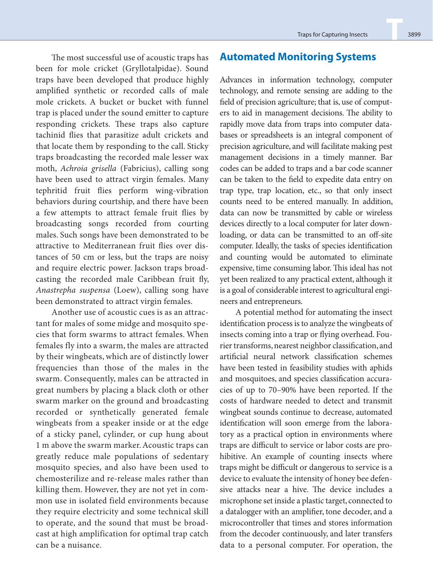The most successful use of acoustic traps has been for mole cricket (Gryllotalpidae). Sound traps have been developed that produce highly amplified synthetic or recorded calls of male mole crickets. A bucket or bucket with funnel trap is placed under the sound emitter to capture responding crickets. These traps also capture tachinid flies that parasitize adult crickets and that locate them by responding to the call. Sticky traps broadcasting the recorded male lesser wax moth, *Achroia grisella* (Fabricius), calling song have been used to attract virgin females. Many tephritid fruit flies perform wing-vibration behaviors during courtship, and there have been a few attempts to attract female fruit flies by broadcasting songs recorded from courting males. Such songs have been demonstrated to be attractive to Mediterranean fruit flies over distances of 50 cm or less, but the traps are noisy and require electric power. Jackson traps broadcasting the recorded male Caribbean fruit fly, *Anastrepha suspensa* (Loew), calling song have been demonstrated to attract virgin females.

Another use of acoustic cues is as an attractant for males of some midge and mosquito species that form swarms to attract females. When females fly into a swarm, the males are attracted by their wingbeats, which are of distinctly lower frequencies than those of the males in the swarm. Consequently, males can be attracted in great numbers by placing a black cloth or other swarm marker on the ground and broadcasting recorded or synthetically generated female wingbeats from a speaker inside or at the edge of a sticky panel, cylinder, or cup hung about 1 m above the swarm marker. Acoustic traps can greatly reduce male populations of sedentary mosquito species, and also have been used to chemosterilize and re-release males rather than killing them. However, they are not yet in common use in isolated field environments because they require electricity and some technical skill to operate, and the sound that must be broadcast at high amplification for optimal trap catch can be a nuisance.

### **Automated Monitoring Systems**

Advances in information technology, computer technology, and remote sensing are adding to the field of precision agriculture; that is, use of computers to aid in management decisions. The ability to rapidly move data from traps into computer databases or spreadsheets is an integral component of precision agriculture, and will facilitate making pest management decisions in a timely manner. Bar codes can be added to traps and a bar code scanner can be taken to the field to expedite data entry on trap type, trap location, etc., so that only insect counts need to be entered manually. In addition, data can now be transmitted by cable or wireless devices directly to a local computer for later downloading, or data can be transmitted to an off-site computer. Ideally, the tasks of species identification and counting would be automated to eliminate expensive, time consuming labor. This ideal has not yet been realized to any practical extent, although it is a goal of considerable interest to agricultural engineers and entrepreneurs.

A potential method for automating the insect identification process is to analyze the wingbeats of insects coming into a trap or flying overhead. Fourier transforms, nearest neighbor classification, and artificial neural network classification schemes have been tested in feasibility studies with aphids and mosquitoes, and species classification accuracies of up to 70–90% have been reported. If the costs of hardware needed to detect and transmit wingbeat sounds continue to decrease, automated identification will soon emerge from the laboratory as a practical option in environments where traps are difficult to service or labor costs are prohibitive. An example of counting insects where traps might be difficult or dangerous to service is a device to evaluate the intensity of honey bee defensive attacks near a hive. The device includes a microphone set inside a plastic target, connected to a datalogger with an amplifier, tone decoder, and a microcontroller that times and stores information from the decoder continuously, and later transfers data to a personal computer. For operation, the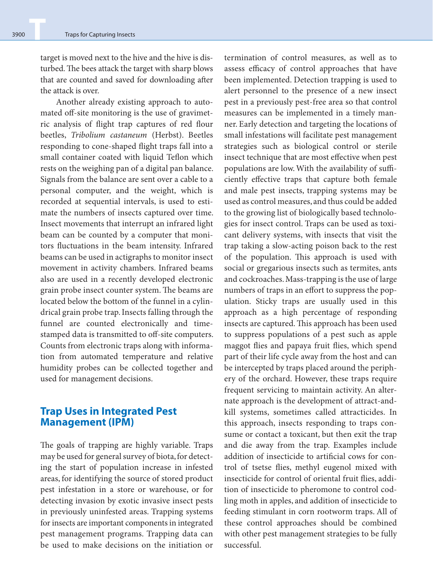target is moved next to the hive and the hive is disturbed. The bees attack the target with sharp blows that are counted and saved for downloading after the attack is over.

Another already existing approach to automated off-site monitoring is the use of gravimetric analysis of flight trap captures of red flour beetles, *Tribolium castaneum* (Herbst). Beetles responding to cone-shaped flight traps fall into a small container coated with liquid Teflon which rests on the weighing pan of a digital pan balance. Signals from the balance are sent over a cable to a personal computer, and the weight, which is recorded at sequential intervals, is used to estimate the numbers of insects captured over time. Insect movements that interrupt an infrared light beam can be counted by a computer that monitors fluctuations in the beam intensity. Infrared beams can be used in actigraphs to monitor insect movement in activity chambers. Infrared beams also are used in a recently developed electronic grain probe insect counter system. The beams are located below the bottom of the funnel in a cylindrical grain probe trap. Insects falling through the funnel are counted electronically and timestamped data is transmitted to off-site computers. Counts from electronic traps along with information from automated temperature and relative humidity probes can be collected together and used for management decisions.

### **Trap Uses in Integrated Pest Management (IPM)**

The goals of trapping are highly variable. Traps may be used for general survey of biota, for detecting the start of population increase in infested areas, for identifying the source of stored product pest infestation in a store or warehouse, or for detecting invasion by exotic invasive insect pests in previously uninfested areas. Trapping systems for insects are important components in integrated pest management programs. Trapping data can be used to make decisions on the initiation or

termination of control measures, as well as to assess efficacy of control approaches that have been implemented. Detection trapping is used to alert personnel to the presence of a new insect pest in a previously pest-free area so that control measures can be implemented in a timely manner. Early detection and targeting the locations of small infestations will facilitate pest management strategies such as biological control or sterile insect technique that are most effective when pest populations are low. With the availability of sufficiently effective traps that capture both female and male pest insects, trapping systems may be used as control measures, and thus could be added to the growing list of biologically based technologies for insect control. Traps can be used as toxicant delivery systems, with insects that visit the trap taking a slow-acting poison back to the rest of the population. This approach is used with social or gregarious insects such as termites, ants and cockroaches. Mass-trapping is the use of large numbers of traps in an effort to suppress the population. Sticky traps are usually used in this approach as a high percentage of responding insects are captured. This approach has been used to suppress populations of a pest such as apple maggot flies and papaya fruit flies, which spend part of their life cycle away from the host and can be intercepted by traps placed around the periphery of the orchard. However, these traps require frequent servicing to maintain activity. An alternate approach is the development of attract-andkill systems, sometimes called attracticides. In this approach, insects responding to traps consume or contact a toxicant, but then exit the trap and die away from the trap. Examples include addition of insecticide to artificial cows for control of tsetse flies, methyl eugenol mixed with insecticide for control of oriental fruit flies, addition of insecticide to pheromone to control codling moth in apples, and addition of insecticide to feeding stimulant in corn rootworm traps. All of these control approaches should be combined with other pest management strategies to be fully successful.